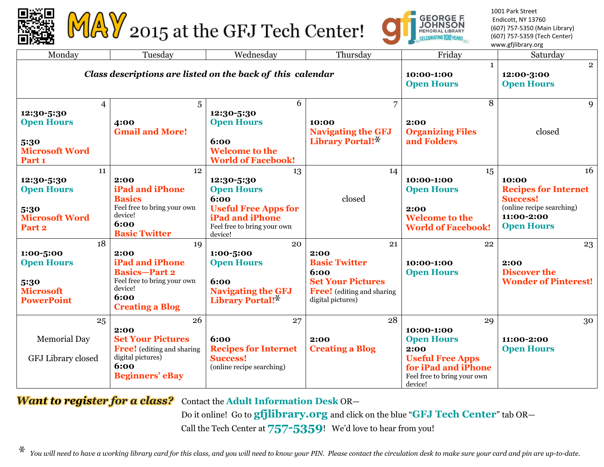

MAY 2015 at the GFJ Tech Center!



1001 Park Street Endicott, NY 13760 (607) 757-5350 (Main Library) (607) 757-5359 (Tech Center) www.gfjlibrary.org

| Monday                                                                                      | Tuesday                                                                                                                                  | Wednesday                                                                                                                                        | Thursday                                                                                                                         | Friday                                                                                                                                    | Saturday                                                                                                                      |
|---------------------------------------------------------------------------------------------|------------------------------------------------------------------------------------------------------------------------------------------|--------------------------------------------------------------------------------------------------------------------------------------------------|----------------------------------------------------------------------------------------------------------------------------------|-------------------------------------------------------------------------------------------------------------------------------------------|-------------------------------------------------------------------------------------------------------------------------------|
| Class descriptions are listed on the back of this calendar                                  |                                                                                                                                          |                                                                                                                                                  |                                                                                                                                  | $\mathbf{1}$<br>10:00-1:00<br><b>Open Hours</b>                                                                                           | $\overline{2}$<br>12:00-3:00<br><b>Open Hours</b>                                                                             |
| 4<br>12:30-5:30<br><b>Open Hours</b><br>5:30<br><b>Microsoft Word</b><br>Part <sub>1</sub>  | 5<br>4:00<br><b>Gmail and More!</b>                                                                                                      | 6<br>12:30-5:30<br><b>Open Hours</b><br>6:00<br><b>Welcome to the</b><br><b>World of Facebook!</b>                                               | $\overline{7}$<br>10:00<br><b>Navigating the GFJ</b><br>Library Portal!*                                                         | 8<br>2:00<br><b>Organizing Files</b><br>and Folders                                                                                       | 9<br>closed                                                                                                                   |
| 11<br>12:30-5:30<br><b>Open Hours</b><br>5:30<br><b>Microsoft Word</b><br>Part <sub>2</sub> | 12<br>2:00<br><b>iPad and iPhone</b><br><b>Basics</b><br>Feel free to bring your own<br>device!<br>6:00<br><b>Basic Twitter</b>          | 13<br>12:30-5:30<br><b>Open Hours</b><br>6:00<br><b>Useful Free Apps for</b><br><b>iPad and iPhone</b><br>Feel free to bring your own<br>device! | 14<br>closed                                                                                                                     | 15<br>10:00-1:00<br><b>Open Hours</b><br>2:00<br><b>Welcome to the</b><br><b>World of Facebook!</b>                                       | 16<br>10:00<br><b>Recipes for Internet</b><br><b>Success!</b><br>(online recipe searching)<br>11:00-2:00<br><b>Open Hours</b> |
| 18<br>1:00-5:00<br><b>Open Hours</b><br>5:30<br><b>Microsoft</b><br><b>PowerPoint</b>       | 19<br>2:00<br><b>iPad and iPhone</b><br><b>Basics-Part 2</b><br>Feel free to bring your own<br>device!<br>6:00<br><b>Creating a Blog</b> | 20<br>1:00-5:00<br><b>Open Hours</b><br>6:00<br><b>Navigating the GFJ</b><br>Library Portal!*                                                    | 21<br>2:00<br><b>Basic Twitter</b><br>6:00<br><b>Set Your Pictures</b><br><b>Free!</b> (editing and sharing<br>digital pictures) | 22<br>10:00-1:00<br><b>Open Hours</b>                                                                                                     | 23<br>2:00<br><b>Discover the</b><br><b>Wonder of Pinterest!</b>                                                              |
| 25<br><b>Memorial Day</b><br>GFJ Library closed                                             | 26<br>2:00<br><b>Set Your Pictures</b><br><b>Free!</b> (editing and sharing<br>digital pictures)<br>6:00<br><b>Beginners' eBay</b>       | 27<br>6:00<br><b>Recipes for Internet</b><br><b>Success!</b><br>(online recipe searching)                                                        | 28<br>2:00<br><b>Creating a Blog</b>                                                                                             | 29<br>10:00-1:00<br><b>Open Hours</b><br>2:00<br><b>Useful Free Apps</b><br>for iPad and iPhone<br>Feel free to bring your own<br>device! | 30<br>11:00-2:00<br><b>Open Hours</b>                                                                                         |

*Want to register for a class?*Contact the **Adult Information Desk** OR—

Do it online! Go to **gfjlibrary.org** and click on the blue "**GFJ Tech Center**" tab OR— Call the Tech Center at **757-5359**! We'd love to hear from you!

ж *You will need to have a working library card for this class, and you will need to know your PIN. Please contact the circulation desk to make sure your card and pin are up-to-date.*